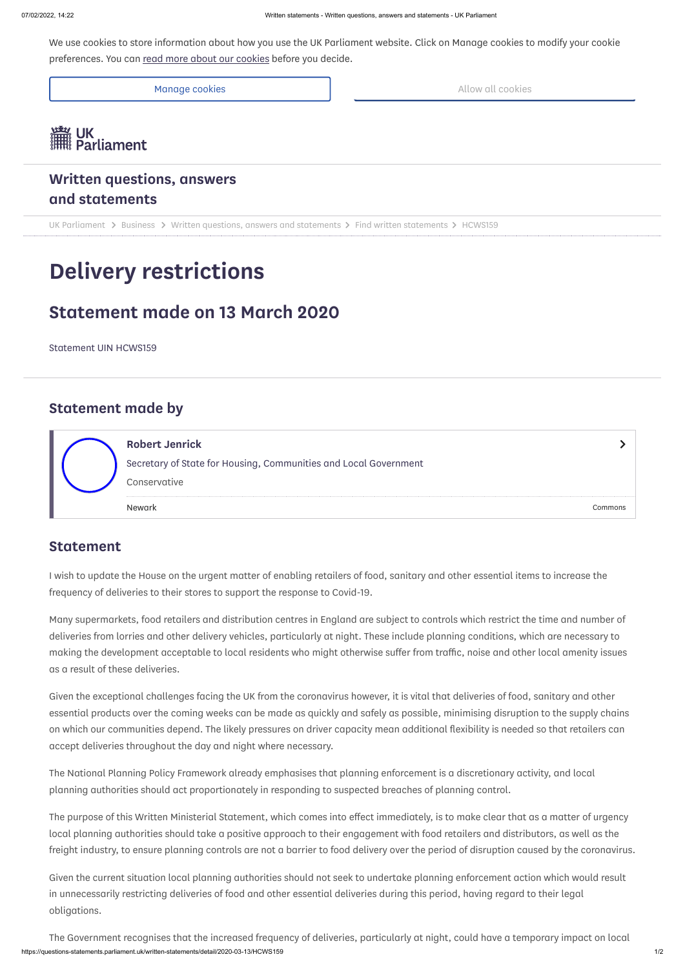We use cookies to store information about how you use the UK Parliament website. Click on Manage cookies to modify your cookie preferences. You can read more [about our](https://www.parliament.uk/site-information/privacy/) cookies before you decide.

Manage cookies **Allow all cookies** Allow all cookies



# **Written questions, answers and [statements](https://questions-statements.parliament.uk/)**

UK [Parliament](https://www.parliament.uk/)  $\triangleright$  [Business](https://www.parliament.uk/business)  $\triangleright$  Written questions, answers [and statements](https://questions-statements.parliament.uk/)  $\triangleright$  [Find written](https://questions-statements.parliament.uk/written-statements) statements  $\triangleright$  HCWS159

# **Delivery restrictions**

# **Statement made on 13 March 2020**

Statement UIN HCWS159

## **Statement made by**

### **Statement**

I wish to update the House on the urgent matter of enabling retailers of food, sanitary and other essential items to increase the frequency of deliveries to their stores to support the response to Covid-19.

Many supermarkets, food retailers and distribution centres in England are subject to controls which restrict the time and number of deliveries from lorries and other delivery vehicles, particularly at night. These include planning conditions, which are necessary to making the development acceptable to local residents who might otherwise suffer from traffic, noise and other local amenity issues as a result of these deliveries.

https://questions-statements.parliament.uk/written-statements/detail/2020-03-13/HCWS159 1/2 The Government recognises that the increased frequency of deliveries, particularly at night, could have a temporary impact on local

Given the exceptional challenges facing the UK from the coronavirus however, it is vital that deliveries of food, sanitary and other essential products over the coming weeks can be made as quickly and safely as possible, minimising disruption to the supply chains on which our communities depend. The likely pressures on driver capacity mean additional flexibility is needed so that retailers can accept deliveries throughout the day and night where necessary.

|  | <b>Robert Jenrick</b>                                                            |         |
|--|----------------------------------------------------------------------------------|---------|
|  | Secretary of State for Housing, Communities and Local Government<br>Conservative |         |
|  | Newark                                                                           | Commons |

The National Planning Policy Framework already emphasises that planning enforcement is a discretionary activity, and local planning authorities should act proportionately in responding to suspected breaches of planning control.

The purpose of this Written Ministerial Statement, which comes into effect immediately, is to make clear that as a matter of urgency local planning authorities should take a positive approach to their engagement with food retailers and distributors, as well as the freight industry, to ensure planning controls are not a barrier to food delivery over the period of disruption caused by the coronavirus.

Given the current situation local planning authorities should not seek to undertake planning enforcement action which would result in unnecessarily restricting deliveries of food and other essential deliveries during this period, having regard to their legal obligations.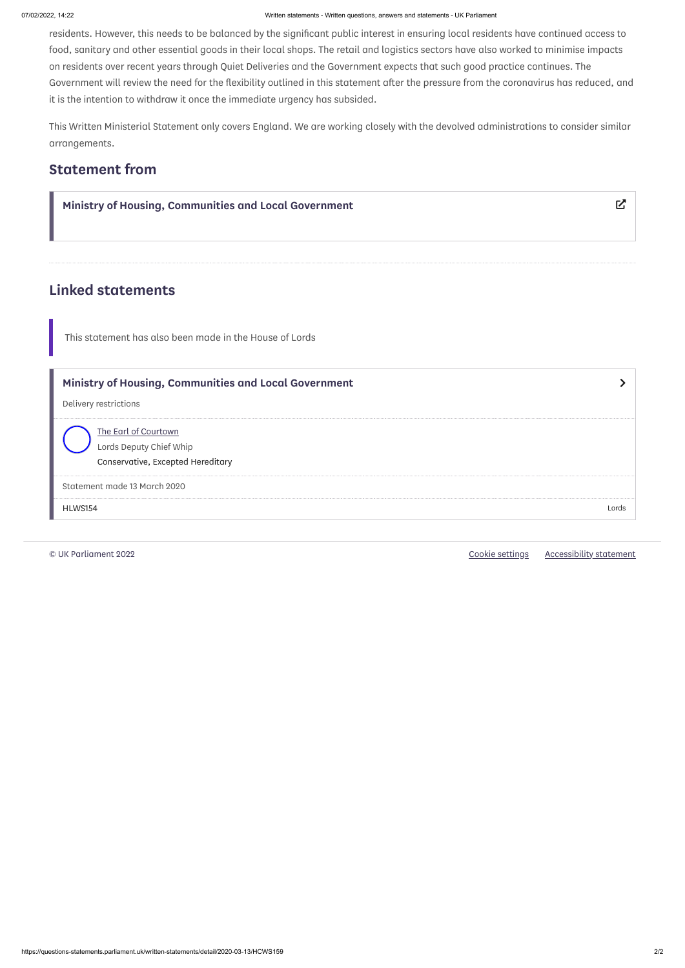#### 07/02/2022, 14:22 Written statements - Written questions, answers and statements - UK Parliament

residents. However, this needs to be balanced by the significant public interest in ensuring local residents have continued access to food, sanitary and other essential goods in their local shops. The retail and logistics sectors have also worked to minimise impacts on residents over recent years through Quiet Deliveries and the Government expects that such good practice continues. The Government will review the need for the flexibility outlined in this statement after the pressure from the coronavirus has reduced, and it is the intention to withdraw it once the immediate urgency has subsided.

| Ministry of Housing, Communities and Local Government                                | ビ     |
|--------------------------------------------------------------------------------------|-------|
| <b>Linked statements</b>                                                             |       |
| This statement has also been made in the House of Lords                              |       |
| Ministry of Housing, Communities and Local Government<br>Delivery restrictions       |       |
| The Earl of Courtown<br>Lords Deputy Chief Whip<br>Conservative, Excepted Hereditary |       |
| Statement made 13 March 2020                                                         |       |
| HLWS154                                                                              | Lords |

This Written Ministerial Statement only covers England. We are working closely with the devolved administrations to consider similar arrangements.

# **Statement from**

© UK Parliament 2022 Cookie [settings](https://questions-statements.parliament.uk/written-statements/detail/2020-03-13/HCWS159) [Accessibility](https://www.parliament.uk/site-information/accessibility/) statement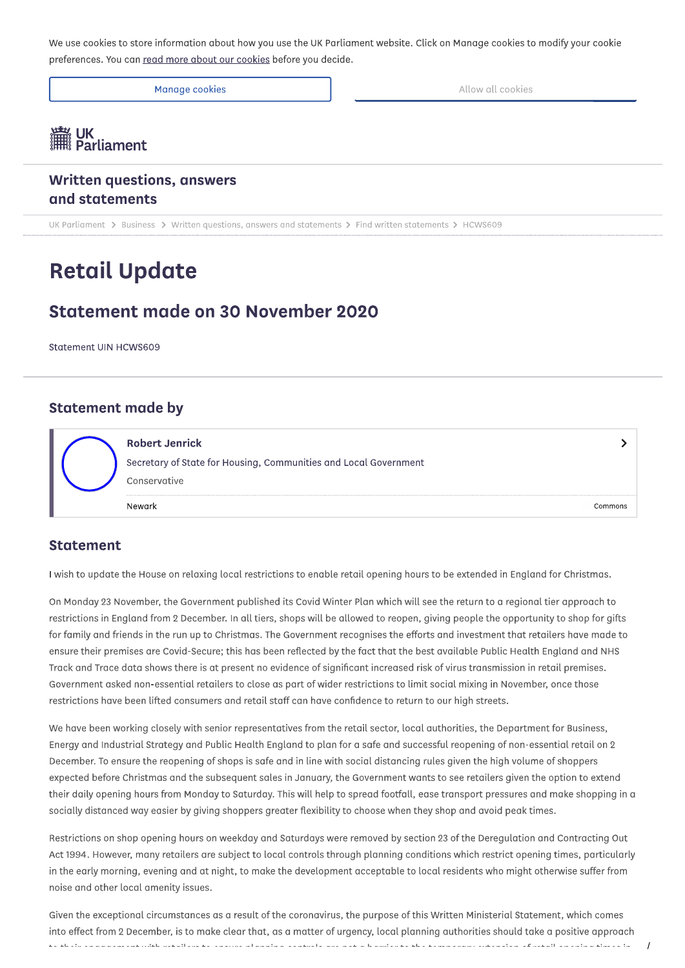We use cookies to store information about how you use the UK Parliament website. Click on Manage cookies to modify your cookie preferences. You can read more about our cookies before you decide.

Manage cookies

**WEBS** UK<br>Farliament

**Written questions, answers** and statements

UK Parliament > Business > Written questions, answers and statements > Find written statements > HCWS609

# **Retail Update**

### Statement made on 30 November 2020

Statement UIN HCWS609

#### **Statement made by**

| <b>Robert Jenrick</b>                                            |  |
|------------------------------------------------------------------|--|
| Secretary of State for Housing, Communities and Local Government |  |
| Conservative                                                     |  |
|                                                                  |  |

#### **Statement**

I wish to update the House on relaxing local restrictions to enable retail opening hours to be extended in England for Christmas.

On Monday 23 November, the Government published its Covid Winter Plan which will see the return to a regional tier approach to restrictions in England from 2 December. In all tiers, shops will be allowed to reopen, giving people the opportunity to shop for gifts for family and friends in the run up to Christmas. The Government recognises the efforts and investment that retailers have made to ensure their premises are Covid-Secure; this has been reflected by the fact that the best available Public Health England and NHS Track and Trace data shows there is at present no evidence of significant increased risk of virus transmission in retail premises. Government asked non-essential retailers to close as part of wider restrictions to limit social mixing in November, once those restrictions have been lifted consumers and retail staff can have confidence to return to our high streets.

We have been working closely with senior representatives from the retail sector, local authorities, the Department for Business, Energy and Industrial Strategy and Public Health England to plan for a safe and successful reopening of non-essential retail on 2 December. To ensure the reopening of shops is safe and in line with social distancing rules given the high volume of shoppers expected before Christmas and the subsequent sales in January, the Government wants to see retailers given the option to extend their daily opening hours from Monday to Saturday. This will help to spread footfall, ease transport pressures and make shopping in a socially distanced way easier by giving shoppers greater flexibility to choose when they shop and avoid peak times.

Restrictions on shop opening hours on weekday and Saturdays were removed by section 23 of the Deregulation and Contracting Out Act 1994. However, many retailers are subject to local controls through planning conditions which restrict opening times, particularly in the early morning, evening and at night, to make the development acceptable to local residents who might otherwise suffer from noise and other local amenity issues.

Given the exceptional circumstances as a result of the coronavirus, the purpose of this Written Ministerial Statement, which comes into effect from 2 December, is to make clear that, as a matter of urgency, local planning authorities should take a positive approach sa shaib ana ananan uikh batailaba ta'ana banan a lanain a aantuala wa nati a habibarta sha samaaban a maada af batail ananina timaa in

Allow all cookies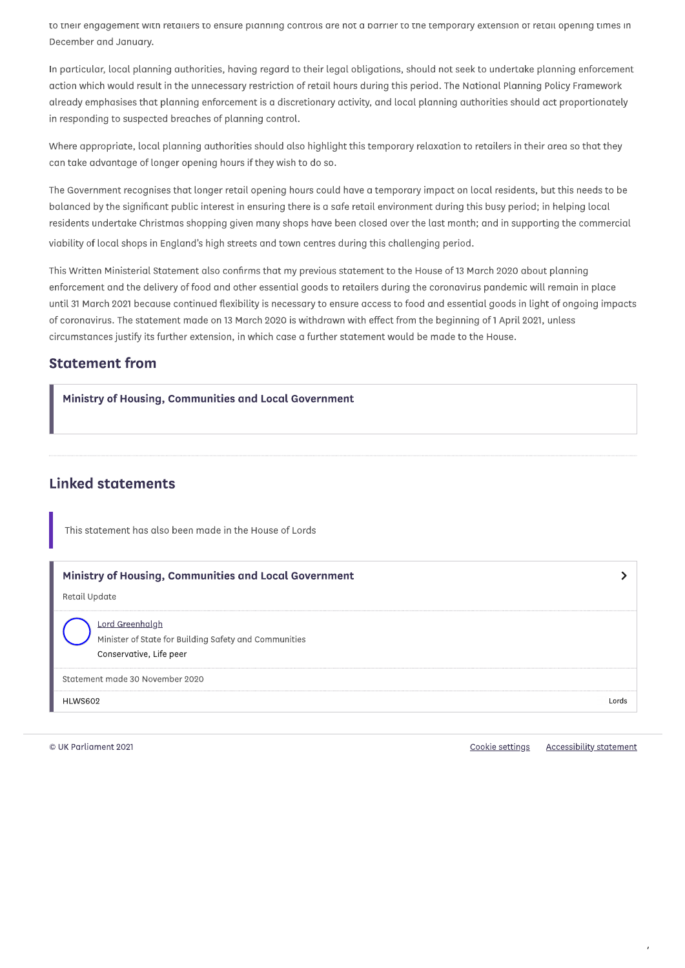to their engagement with retailers to ensure planning controls are not a barrier to the temporary extension of retail opening times in December and January.

In particular, local planning authorities, having regard to their legal obligations, should not seek to undertake planning enforcement action which would result in the unnecessary restriction of retail hours during this period. The National Planning Policy Framework already emphasises that planning enforcement is a discretionary activity, and local planning authorities should act proportionately in responding to suspected breaches of planning control.

Where appropriate, local planning authorities should also highlight this temporary relaxation to retailers in their area so that they can take advantage of longer opening hours if they wish to do so.

The Government recognises that longer retail opening hours could have a temporary impact on local residents, but this needs to be balanced by the significant public interest in ensuring there is a safe retail environment during this busy period; in helping local residents undertake Christmas shopping given many shops have been closed over the last month; and in supporting the commercial viability of local shops in England's high streets and town centres during this challenging period.

This Written Ministerial Statement also confirms that my previous statement to the House of 13 March 2020 about planning enforcement and the delivery of food and other essential goods to retailers during the coronavirus pandemic will remain in place until 31 March 2021 because continued flexibility is necessary to ensure access to food and essential goods in light of ongoing impacts of coronavirus. The statement made on 13 March 2020 is withdrawn with effect from the beginning of 1 April 2021, unless circumstances justify its further extension, in which case a further statement would be made to the House.

### **Statement from**

П

| Ministry of Housing, Communities and Local Government |
|-------------------------------------------------------|
|                                                       |
|                                                       |

### **Linked statements**

This statement has also been made in the House of Lords

| Ministry of Housing, Communities and Local Government<br>Retail Update                              |       |
|-----------------------------------------------------------------------------------------------------|-------|
| Lord Greenhalgh<br>Minister of State for Building Safety and Communities<br>Conservative, Life peer |       |
| Statement made 30 November 2020                                                                     |       |
| HLWS602                                                                                             | Lords |

© UK Parliament 2021

Cookie settings Accessibility statement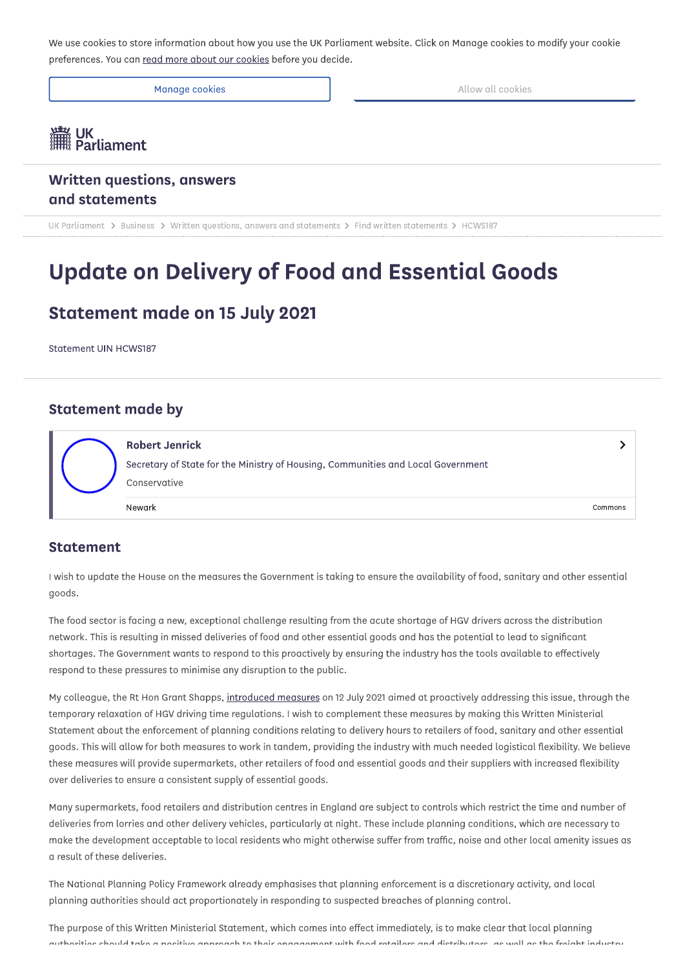We use cookies to store information about how you use the UK Parliament website. Click on Manage cookies to modify your cookie preferences. You can read more about our cookies before you decide.

Manage cookies

Allow all cookies

# **瀟 UK**<br>II Parliament

**Written questions, answers** and statements

UK Parliament > Business > Written questions, answers and statements > Find written statements > HCWS187

# **Update on Delivery of Food and Essential Goods**

### **Statement made on 15 July 2021**

Statement UIN HCWS187

#### **Statement made by**

| <b>Robert Jenrick</b>                                                            |  |
|----------------------------------------------------------------------------------|--|
| Secretary of State for the Ministry of Housing, Communities and Local Government |  |
| Conservative                                                                     |  |
|                                                                                  |  |

#### **Statement**

I wish to update the House on the measures the Government is taking to ensure the availability of food, sanitary and other essential goods.

The food sector is facing a new, exceptional challenge resulting from the acute shortage of HGV drivers across the distribution network. This is resulting in missed deliveries of food and other essential goods and has the potential to lead to significant shortages. The Government wants to respond to this proactively by ensuring the industry has the tools available to effectively respond to these pressures to minimise any disruption to the public.

My colleague, the Rt Hon Grant Shapps, introduced measures on 12 July 2021 aimed at proactively addressing this issue, through the temporary relaxation of HGV driving time regulations. I wish to complement these measures by making this Written Ministerial Statement about the enforcement of planning conditions relating to delivery hours to retailers of food, sanitary and other essential goods. This will allow for both measures to work in tandem, providing the industry with much needed logistical flexibility. We believe these measures will provide supermarkets, other retailers of food and essential goods and their suppliers with increased flexibility over deliveries to ensure a consistent supply of essential goods.

Many supermarkets, food retailers and distribution centres in England are subject to controls which restrict the time and number of deliveries from lorries and other delivery vehicles, particularly at night. These include planning conditions, which are necessary to make the development acceptable to local residents who might otherwise suffer from traffic, noise and other local amenity issues as a result of these deliveries.

The National Planning Policy Framework already emphasises that planning enforcement is a discretionary activity, and local planning authorities should act proportionately in responding to suspected breaches of planning control.

The purpose of this Written Ministerial Statement, which comes into effect immediately, is to make clear that local planning quitboxities should take a nositive annroach to their enaggement with food retailers and distributors, as well as the freight industry